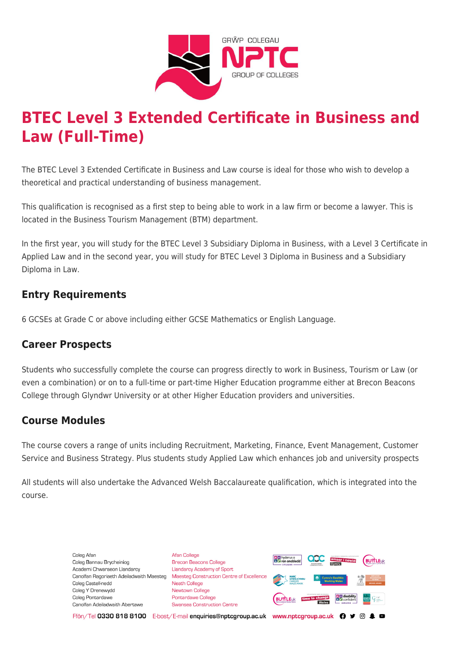

# **BTEC Level 3 Extended Certificate in Business and Law (Full-Time)**

The BTEC Level 3 Extended Certificate in Business and Law course is ideal for those who wish to develop a theoretical and practical understanding of business management.

This qualification is recognised as a first step to being able to work in a law firm or become a lawyer. This is located in the Business Tourism Management (BTM) department.

In the first year, you will study for the BTEC Level 3 Subsidiary Diploma in Business, with a Level 3 Certificate in Applied Law and in the second year, you will study for BTEC Level 3 Diploma in Business and a Subsidiary Diploma in Law.

# **Entry Requirements**

6 GCSEs at Grade C or above including either GCSE Mathematics or English Language.

### **Career Prospects**

Students who successfully complete the course can progress directly to work in Business, Tourism or Law (or even a combination) or on to a full-time or part-time Higher Education programme either at Brecon Beacons College through Glyndwr University or at other Higher Education providers and universities.

### **Course Modules**

The course covers a range of units including Recruitment, Marketing, Finance, Event Management, Customer Service and Business Strategy. Plus students study Applied Law which enhances job and university prospects

All students will also undertake the Advanced Welsh Baccalaureate qualification, which is integrated into the course.

> Coleg Afar Coleg Bannau Brycheiniog Academi Chwaraeon Llandarcy Canolfan Ragoriaeth Adeiladwaith Maesteg Coleg Castell-nedd Coleg Y Drenewydd Coleg Pontardawe Canolfan Adeiladwaith Abertawe

**Afan College** Brecon Beacons College **Llandarcy Academy of Sport** Maesteg Construction Centre of Excellence Neath College Newtown College Pontardawe College Swansea Construction Centre



Ffôn/Tel 0330 818 8100 E-bost/E-mail enquiries@nptcgroup.ac.uk www.nptcgroup.ac.uk ? • © \$